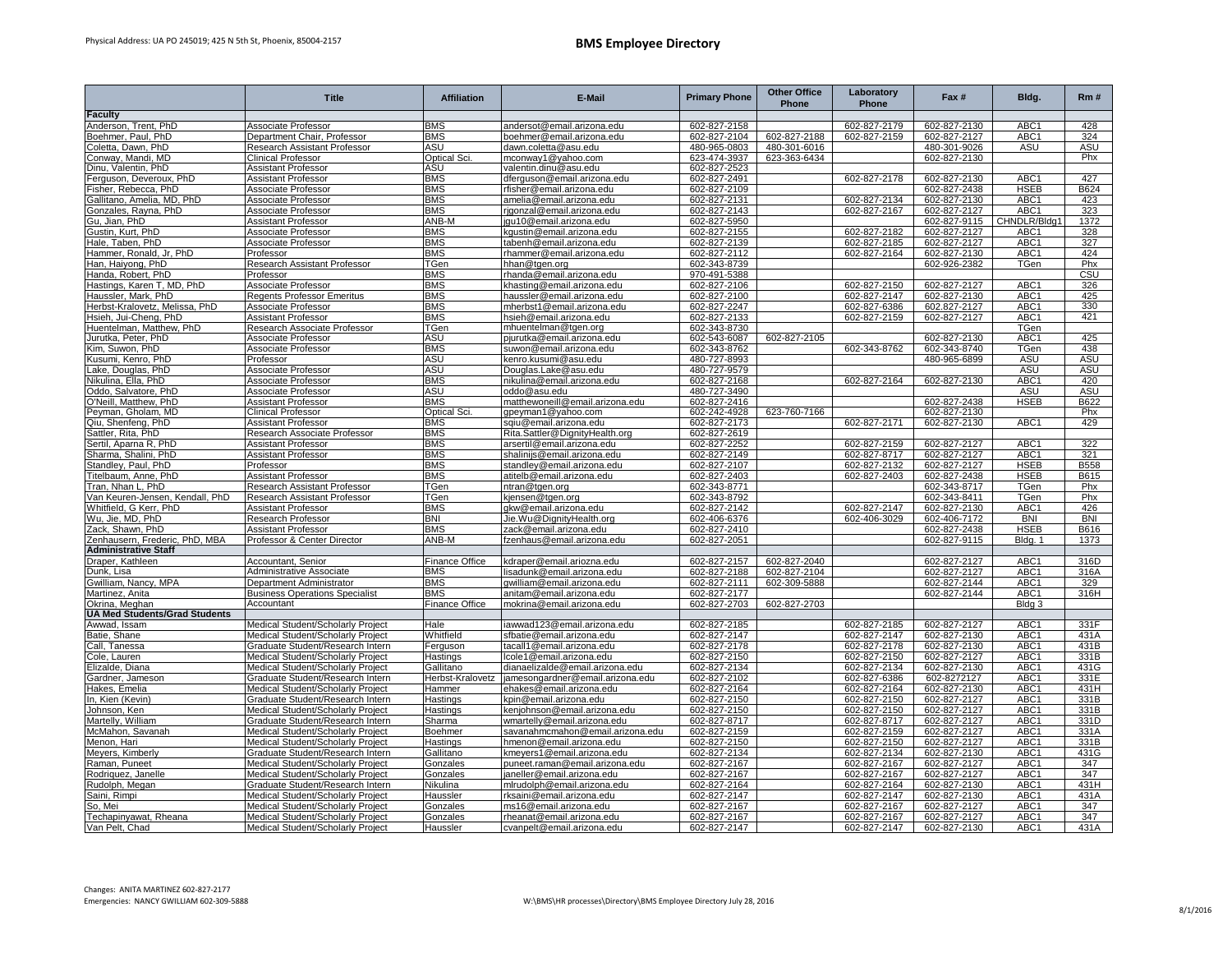|                                                        | <b>Title</b>                                                           | <b>Affiliation</b>         | E-Mail                                                   | <b>Primary Phone</b>         | <b>Other Office</b><br>Phone | Laboratory<br>Phone | Fax #                        | Bldg.               | Rm#                |
|--------------------------------------------------------|------------------------------------------------------------------------|----------------------------|----------------------------------------------------------|------------------------------|------------------------------|---------------------|------------------------------|---------------------|--------------------|
| <b>Faculty</b>                                         |                                                                        |                            |                                                          |                              |                              |                     |                              |                     |                    |
| Anderson, Trent, PhD                                   | Associate Professor                                                    | <b>BMS</b>                 | andersot@email.arizona.edu                               | 602-827-2158                 |                              | 602-827-2179        | 602-827-2130                 | ABC1                | 428                |
| Boehmer, Paul, PhD                                     | Department Chair, Professor                                            | <b>BMS</b>                 | boehmer@email.arizona.edu                                | 602-827-2104                 | 602-827-2188                 | 602-827-2159        | 602-827-2127                 | ABC <sub>1</sub>    | 324                |
| Coletta, Dawn, PhD                                     | Research Assistant Professor                                           | ASU                        | dawn.coletta@asu.edu                                     | 480-965-0803                 | 480-301-6016                 |                     | 480-301-9026                 | ASU                 | <b>ASU</b>         |
| Conway, Mandi, MD                                      | <b>Clinical Professor</b>                                              | Optical Sci.               | mconway1@yahoo.com                                       | 623-474-3937                 | 623-363-6434                 |                     | 602-827-2130                 |                     | Phx                |
| Dinu, Valentin, PhD                                    | <b>Assistant Professor</b>                                             | <b>ASU</b>                 | valentin.dinu@asu.edu                                    | 602-827-2523                 |                              |                     |                              |                     |                    |
| erguson, Deveroux, PhD<br>isher, Rebecca, PhD          | Assistant Professor<br>Associate Professor                             | <b>BMS</b><br><b>BMS</b>   | dferguson@email.arizona.edu<br>rfisher@email.arizona.edu | 602-827-2491                 |                              | 602-827-2178        | 602-827-2130                 | ABC1<br><b>HSEB</b> | 427<br><b>B624</b> |
|                                                        | Associate Professor                                                    | <b>BMS</b>                 | amelia@email.arizona.edu                                 | 602-827-2109<br>602-827-2131 |                              | 602-827-2134        | 602-827-2438<br>602-827-2130 | ABC1                | 423                |
| Gallitano, Amelia, MD, PhD<br>Gonzales, Rayna, PhD     | Associate Professor                                                    | <b>BMS</b>                 | rigonzal@email.arizona.edu                               | 602-827-2143                 |                              | 602-827-2167        | 602-827-2127                 | ABC1                | 323                |
| Gu. Jian. PhD                                          | <b>Assistant Professor</b>                                             | ANB-M                      | jqu10@email.arizona.edu                                  | 602-827-5950                 |                              |                     | 602-827-9115                 | CHNDLR/Bldg         | 1372               |
| Gustin, Kurt, PhD                                      | Associate Professor                                                    | <b>BMS</b>                 | kgustin@email.arizona.edu                                | 602-827-2155                 |                              | 602-827-2182        | 602-827-2127                 | ABC <sub>1</sub>    | 328                |
| Hale, Taben, PhD                                       | <b>Associate Professor</b>                                             | <b>BMS</b>                 | tabenh@email.arizona.edu                                 | 602-827-2139                 |                              | 602-827-2185        | 602-827-2127                 | ABC1                | 327                |
| Hammer, Ronald, Jr, PhD                                | Professor                                                              | <b>BMS</b>                 | rhammer@email.arizona.edu                                | 602-827-2112                 |                              | 602-827-2164        | 602-827-2130                 | ABC1                | 424                |
| Han, Haiyong, PhD                                      | Research Assistant Professor                                           | TGen                       | hhan@tgen.org                                            | 602-343-8739                 |                              |                     | 602-926-2382                 | TGen                | Phx                |
| Handa, Robert, PhD                                     | Professor                                                              | BMS                        | rhanda@email.arizona.edu                                 | 970-491-5388                 |                              |                     |                              |                     | CSU                |
| Hastings, Karen T, MD, PhD                             | Associate Professor                                                    | <b>BMS</b>                 | khasting@email.arizona.edu                               | 602-827-2106                 |                              | 602-827-2150        | 602-827-2127                 | ABC1                | 326                |
| Haussler, Mark, PhD                                    | <b>Regents Professor Emeritus</b>                                      | <b>BMS</b>                 | haussler@email.arizona.edu                               | 602-827-2100                 |                              | 602-827-2147        | 602-827-2130                 | ABC1                | 425                |
| Herbst-Kralovetz, Melissa, PhD                         | Associate Professor                                                    | <b>BMS</b>                 | mherbst1@email.arizona.edu                               | 602-827-2247                 |                              | 602-827-6386        | 602.827-2127                 | ABC <sub>1</sub>    | 330                |
| Hsieh, Jui-Cheng, PhD                                  | Assistant Professor                                                    | <b>BMS</b>                 | hsieh@email.arizona.edu                                  | 602-827-2133                 |                              | 602-827-2159        | 602-827-2127                 | ABC1                | 421                |
| Huentelman, Matthew, PhD                               | Research Associate Professor                                           | TGen                       | mhuentelman@tgen.org                                     | 602-343-8730                 |                              |                     |                              | TGen                |                    |
| Jurutka, Peter, PhD                                    | Associate Professor                                                    | ASU                        | pjurutka@email.arizona.edu                               | 602-543-6087                 | 602-827-2105                 |                     | 602-827-2130                 | ABC1                | 425                |
| Kim, Suwon, PhD                                        | Associate Professor                                                    | <b>BMS</b>                 | suwon@email.arizona.edu                                  | 602-343-8762                 |                              | 602-343-8762        | 602-343-8740                 | TGen                | 438                |
| Kusumi, Kenro, PhD                                     | Professor                                                              | ASU                        | kenro.kusumi@asu.edu                                     | 480-727-8993                 |                              |                     | 480-965-6899                 | ASU                 | <b>ASU</b>         |
| Lake, Douglas, PhD                                     | Associate Professor                                                    | ASU                        | Douglas.Lake@asu.edu                                     | 480-727-9579                 |                              |                     |                              | <b>ASU</b>          | <b>ASU</b>         |
| Nikulina, Ella, PhD                                    | Associate Professor                                                    | <b>BMS</b>                 | nikulina@email.arizona.edu                               | 602-827-2168                 |                              | 602-827-2164        | 602-827-2130                 | ABC1                | 420                |
| Oddo, Salvatore, PhD                                   | Associate Professor                                                    | ASU                        | oddo@asu.edu                                             | 480-727-3490                 |                              |                     |                              | ASU                 | ASU<br>B622        |
| O'Neill, Matthew, PhD<br>Peyman, Gholam, MD            | <b>Assistant Professor</b><br><b>Clinical Professor</b>                | <b>BMS</b><br>Optical Sci. | matthewoneill@email.arizona.edu<br>gpeyman1@yahoo.com    | 602-827-2416<br>602-242-4928 | 623-760-7166                 |                     | 602-827-2438<br>602-827-2130 | <b>HSEB</b>         | Phx                |
| Qiu, Shenfeng, PhD                                     | Assistant Professor                                                    | <b>BMS</b>                 | sqiu@email.arizona.edu                                   | 602-827-2173                 |                              | 602-827-2171        | 602-827-2130                 | ABC1                | 429                |
| Sattler, Rita, PhD                                     | Research Associate Professor                                           | <b>BMS</b>                 | Rita.Sattler@DignityHealth.org                           | 602-827-2619                 |                              |                     |                              |                     |                    |
| Sertil, Aparna R, PhD                                  | <b>Assistant Professor</b>                                             | <b>BMS</b>                 | arsertil@email.arizona.edu                               | 602-827-2252                 |                              | 602-827-2159        | 602-827-2127                 | ABC1                | 322                |
| Sharma, Shalini, PhD                                   | Assistant Professor                                                    | BMS                        | shalinijs@email.arizona.edu                              | 602-827-2149                 |                              | 602-827-8717        | 602-827-2127                 | ABC1                | 321                |
| Standley, Paul, PhD                                    | Professor                                                              | <b>BMS</b>                 | standley@email.arizona.edu                               | 602-827-2107                 |                              | 602-827-2132        | 602-827-2127                 | <b>HSEB</b>         | B558               |
| Titelbaum, Anne, PhD                                   | Assistant Professor                                                    | <b>BMS</b>                 | atitelb@email.arizona.edu                                | 602-827-2403                 |                              | 602-827-2403        | 602-827-2438                 | <b>HSEB</b>         | B615               |
| Tran, Nhan L, PhD                                      | Research Assistant Professor                                           | TGen                       | ntran@tgen.org                                           | 602-343-8771                 |                              |                     | 602-343-8717                 | TGen                | Phx                |
| Van Keuren-Jensen, Kendall, PhD                        | Research Assistant Professor                                           | TGen                       | kjensen@tgen.org                                         | 602-343-8792                 |                              |                     | 602-343-8411                 | TGen                | Phx                |
| Whitfield, G Kerr, PhD                                 | Assistant Professor                                                    | <b>BMS</b>                 | gkw@email.arizona.edu                                    | 602-827-2142                 |                              | 602-827-2147        | 602-827-2130                 | ABC1                | 426                |
| Wu, Jie, MD, PhD                                       | Research Professor                                                     | <b>BNI</b>                 | Jie.Wu@DignityHealth.org                                 | 602-406-6376                 |                              | 602-406-3029        | 602-406-7172                 | <b>BNI</b>          | <b>BNI</b>         |
| Zack, Shawn, PhD<br>Zenhausern, Frederic, PhD, MBA     | Assistant Professor                                                    | BMS                        | zack@email.arizona.edu                                   | 602-827-2410                 |                              |                     | 602-827-2438                 | <b>HSEB</b>         | B616               |
| <b>Administrative Staff</b>                            | Professor & Center Director                                            | ANB-M                      | fzenhaus@email.arizona.edu                               | 602-827-2051                 |                              |                     | 602-827-9115                 | Bldg. 1             | 1373               |
| Draper, Kathleen                                       | Accountant, Senior                                                     | <b>Finance Office</b>      | kdraper@email.ariozna.edu                                | 602-827-2157                 | 602-827-2040                 |                     | 602-827-2127                 | ABC <sub>1</sub>    | 316D               |
| Dunk, Lisa                                             | Administrative Associate                                               | <b>BMS</b>                 | isadunk@email.arizona.edu                                | 602-827-2188                 | 602-827-2104                 |                     | 602-827-2127                 | ABC1                | 316A               |
| Gwilliam, Nancy, MPA                                   | Department Administrator                                               | <b>BMS</b>                 | qwilliam@email.arizona.edu                               | 602-827-2111                 | 602-309-5888                 |                     | 602-827-2144                 | ABC1                | 329                |
| Martinez, Anita                                        | <b>Business Operations Specialist</b>                                  | <b>BMS</b>                 | anitam@email.arizona.edu                                 | 602-827-2177                 |                              |                     | 602-827-2144                 | ABC1                | 316H               |
| Okrina, Meghan<br><b>UA Med Students/Grad Students</b> | Accountant                                                             | <b>Finance Office</b>      | mokrina@email.arizona.edu                                | 602-827-2703                 | 602-827-2703                 |                     |                              | Bldg 3              |                    |
|                                                        |                                                                        |                            |                                                          | 602-827-2185                 |                              | 602-827-2185        |                              | ABC1                | 331F               |
| Awwad, Issam<br>Batie, Shane                           | Medical Student/Scholarly Project<br>Medical Student/Scholarly Project | Hale<br>Whitfield          | iawwad123@email.arizona.edu<br>sfbatie@email.arizona.edu | 602-827-2147                 |                              | 602-827-2147        | 602-827-2127<br>602-827-2130 | ABC1                | 431A               |
| Call, Tanessa                                          | Graduate Student/Research Intern                                       | Ferguson                   | tacall1@email.arizona.edu                                | 602-827-2178                 |                              | 602-827-2178        | 602-827-2130                 | ABC1                | 431B               |
| Cole, Lauren                                           | Medical Student/Scholarly Project                                      | Hastings                   | Icole1@email.arizona.edu                                 | 602-827-2150                 |                              | 602-827-2150        | 602-827-2127                 | ABC1                | 331B               |
| Elizalde, Diana                                        | Medical Student/Scholarly Project                                      | Gallitano                  | dianaelizalde@email.arizona.edu                          | 602-827-2134                 |                              | 602-827-2134        | 602-827-2130                 | ABC1                | 431G               |
| Gardner, Jameson                                       | Graduate Student/Research Intern                                       | Herbst-Kralovetz           | amesongardner@email.arizona.edu                          | 602-827-2102                 |                              | 602-827-6386        | 602-8272127                  | ABC1                | 331E               |
| Hakes, Emelia                                          | Medical Student/Scholarly Project                                      | Hammer                     | ehakes@email.arizona.edu                                 | 602-827-2164                 |                              | 602-827-2164        | 602-827-2130                 | ABC1                | 431H               |
| In, Kien (Kevin)                                       | Graduate Student/Research Intern                                       | Hastings                   | kpin@email.arizona.edu                                   | 602-827-2150                 |                              | 602-827-2150        | 602-827-2127                 | ABC1                | 331B               |
| Johnson, Ken                                           | Medical Student/Scholarly Project                                      | Hastings                   | kenjohnson@email.arizona.edu                             | 602-827-2150                 |                              | 602-827-2150        | 602-827-2127                 | ABC1                | 331B               |
| Martelly, William                                      | Graduate Student/Research Intern                                       | Sharma                     | wmartelly@email.arizona.edu                              | 602-827-8717                 |                              | 602-827-8717        | 602-827-2127                 | ABC <sub>1</sub>    | 331D               |
| McMahon, Savanah                                       | Medical Student/Scholarly Project                                      | Boehmer                    | savanahmcmahon@email.arizona.edu                         | 602-827-2159                 |                              | 602-827-2159        | 602-827-2127                 | ABC1                | 331A               |
| Menon, Hari                                            | Medical Student/Scholarly Project                                      | Hastings                   | hmenon@email.arizona.edu                                 | 602-827-2150                 |                              | 602-827-2150        | 602-827-2127                 | ABC1                | 331B               |
| Meyers, Kimberly                                       | Graduate Student/Research Intern                                       | Gallitano                  | kmeyers1@email.arizona.edu                               | 602-827-2134                 |                              | 602-827-2134        | 602-827-2130                 | ABC1                | 431G               |
| Raman, Puneet                                          | Medical Student/Scholarly Project                                      | Gonzales                   | ouneet.raman@email.arizona.edu                           | 602-827-2167                 |                              | 602-827-2167        | 602-827-2127                 | ABC <sub>1</sub>    | 347                |
| Rodriquez, Janelle                                     | Medical Student/Scholarly Project                                      | Gonzales                   | janeller@email.arizona.edu                               | 602-827-2167                 |                              | 602-827-2167        | 602-827-2127                 | ABC <sub>1</sub>    | 347                |
| Rudolph, Megan                                         | Graduate Student/Research Intern                                       | Nikulina                   | mlrudolph@email.arizona.edu                              | 602-827-2164                 |                              | 602-827-2164        | 602-827-2130                 | ABC1                | 431H               |
| Saini, Rimpi                                           | Medical Student/Scholarly Project                                      | Haussler                   | rksaini@email.arizona.edu                                | 602-827-2147                 |                              | 602-827-2147        | 602-827-2130                 | ABC <sub>1</sub>    | 431A               |
| So, Mei                                                | Medical Student/Scholarly Project                                      | Gonzales                   | ms16@email.arizona.edu                                   | 602-827-2167                 |                              | 602-827-2167        | 602-827-2127                 | ABC <sub>1</sub>    | 347                |
| Techapinyawat, Rheana                                  | Medical Student/Scholarly Project                                      | Gonzales                   | rheanat@email.arizona.edu                                | 602-827-2167                 |                              | 602-827-2167        | 602-827-2127                 | ABC1                | 347                |
| Van Pelt, Chad                                         | Medical Student/Scholarly Project                                      | Haussler                   | cvanpelt@email.arizona.edu                               | 602-827-2147                 |                              | 602-827-2147        | 602-827-2130                 | ABC1                | 431A               |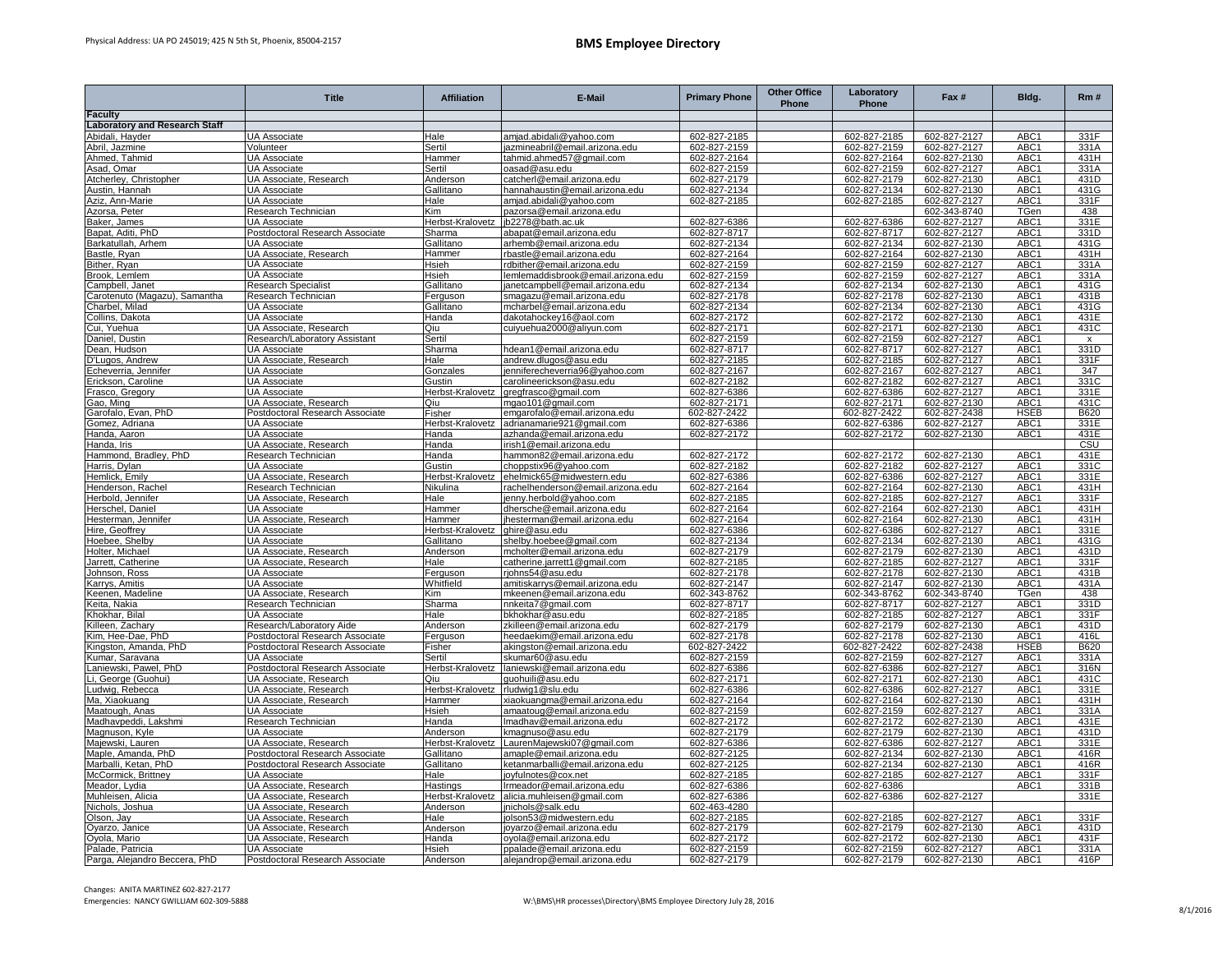|                                                         | <b>Title</b>                                              | <b>Affiliation</b>            | E-Mail                                                  | <b>Primary Phone</b>         | <b>Other Office</b><br>Phone | Laboratory<br>Phone          | Fax #                        | Bldg.                                | Rm#                 |
|---------------------------------------------------------|-----------------------------------------------------------|-------------------------------|---------------------------------------------------------|------------------------------|------------------------------|------------------------------|------------------------------|--------------------------------------|---------------------|
| Faculty                                                 |                                                           |                               |                                                         |                              |                              |                              |                              |                                      |                     |
| <b>Laboratory and Research Staff</b><br>Abidali, Hayder | <b>UA Associate</b>                                       | Hale                          | amjad.abidali@yahoo.com                                 | 602-827-2185                 |                              | 602-827-2185                 | 602-827-2127                 | ABC1                                 | 331F                |
| Abril, Jazmine                                          | Volunteer                                                 | Sertil                        | azmineabril@email.arizona.edu                           | 602-827-2159                 |                              | 602-827-2159                 | 602-827-2127                 | ABC1                                 | 331A                |
| Ahmed, Tahmid                                           | <b>UA Associate</b>                                       | Hammer                        | tahmid.ahmed57@gmail.com                                | 602-827-2164                 |                              | 602-827-2164                 | 602-827-2130                 | ABC1                                 | 431H                |
| Asad, Omar                                              | UA Associate                                              | Sertil                        | oasad@asu.edu                                           | 602-827-2159                 |                              | 602-827-2159                 | 602-827-2127                 | ABC1                                 | 331A                |
| Atcherley, Christopher                                  | UA Associate, Research                                    | Anderson                      | catcherl@email.arizona.edu                              | 602-827-2179                 |                              | 602-827-2179                 | 602-827-2130                 | ABC1                                 | 431D                |
| Austin, Hannah                                          | UA Associate                                              | Gallitano                     | hannahaustin@email.arizona.edu                          | 602-827-2134                 |                              | 602-827-2134                 | 602-827-2130                 | ABC1                                 | 431G                |
| Aziz, Ann-Marie                                         | <b>UA Associate</b>                                       | Hale                          | amjad.abidali@yahoo.com                                 | 602-827-2185                 |                              | 602-827-2185                 | 602-827-2127                 | ABC <sub>1</sub>                     | 331F                |
| Azorsa, Peter                                           | Research Technician                                       | Kim                           | pazorsa@email.arizona.edu                               |                              |                              |                              | 602-343-8740                 | TGen                                 | 438                 |
| Baker, James                                            | <b>UA Associate</b>                                       | Herbst-Kralovetz              | jb2278@bath.ac.uk                                       | 602-827-6386                 |                              | 602-827-6386                 | 602-827-2127                 | ABC1                                 | 331E                |
| Bapat, Aditi, PhD                                       | Postdoctoral Research Associate                           | Sharma                        | abapat@email.arizona.edu                                | 602-827-8717                 |                              | 602-827-8717                 | 602-827-2127                 | ABC1                                 | 331D                |
| Barkatullah, Arhem                                      | <b>UA Associate</b>                                       | Gallitano                     | arhemb@email.arizona.edu                                | 602-827-2134<br>602-827-2164 |                              | 602-827-2134                 | 602-827-2130                 | ABC1<br>ABC1                         | 431G                |
| Bastle, Ryan<br>Bither, Ryan                            | UA Associate, Research<br><b>UA Associate</b>             | Hammer<br>Hsieh               | rbastle@email.arizona.edu<br>rdbither@email.arizona.edu | 602-827-2159                 |                              | 602-827-2164<br>602-827-2159 | 602-827-2130<br>602-827-2127 | ABC1                                 | 431H<br>331A        |
| Brook, Lemlem                                           | <b>UA Associate</b>                                       | Hsieh                         | lemlemaddisbrook@email.arizona.edu                      | 602-827-2159                 |                              | 602-827-2159                 | 602-827-2127                 | ABC1                                 | 331A                |
| Campbell, Janet                                         | Research Specialist                                       | Gallitano                     | janetcampbell@email.arizona.edu                         | 602-827-2134                 |                              | 602-827-2134                 | 602-827-2130                 | ABC1                                 | 431G                |
| Carotenuto (Magazu), Samantha                           | Research Technician                                       | Ferguson                      | smagazu@email.arizona.edu                               | 602-827-2178                 |                              | 602-827-2178                 | 602-827-2130                 | ABC1                                 | 431B                |
| Charbel, Milad                                          | <b>UA Associate</b>                                       | Gallitano                     | mcharbel@email.arizona.edu                              | 602-827-2134                 |                              | 602-827-2134                 | 602-827-2130                 | ABC1                                 | 431G                |
| Collins, Dakota                                         | <b>UA Associate</b>                                       | Handa                         | dakotahockey16@aol.com                                  | 602-827-2172                 |                              | 602-827-2172                 | 602-827-2130                 | ABC1                                 | 431E                |
| Cui, Yuehua                                             | UA Associate, Research                                    | Qiu                           | cuiyuehua2000@aliyun.com                                | 602-827-2171                 |                              | 602-827-2171                 | 602-827-2130                 | ABC1                                 | 431C                |
| Daniel, Dustin                                          | Research/Laboratory Assistant                             | Sertil                        |                                                         | 602-827-2159                 |                              | 602-827-2159                 | 602-827-2127                 | ABC1                                 | $\mathsf{x}$        |
| Dean, Hudson                                            | <b>UA Associate</b>                                       | Sharma                        | ndean1@email.arizona.edu                                | 602-827-8717                 |                              | 602-827-8717                 | 602-827-2127                 | ABC1                                 | 331D                |
| D'Lugos, Andrew                                         | UA Associate, Research                                    | Hale                          | andrew.dlugos@asu.edu                                   | 602-827-2185                 |                              | 602-827-2185                 | 602-827-2127                 | ABC1                                 | 331F                |
| Echeverria, Jennifer                                    | <b>UA Associate</b>                                       | Gonzales                      | enniferecheverria96@yahoo.com                           | 602-827-2167                 |                              | 602-827-2167                 | 602-827-2127                 | ABC1                                 | 347                 |
| Erickson, Caroline                                      | <b>UA Associate</b>                                       | Gustin                        | carolineerickson@asu.edu                                | 602-827-2182                 |                              | 602-827-2182                 | 602-827-2127                 | ABC1                                 | 331C                |
| Frasco, Gregory                                         | <b>UA Associate</b>                                       | Herbst-Kralovetz              | gregfrasco@gmail.com                                    | 602-827-6386                 |                              | 602-827-6386                 | 602-827-2127                 | ABC1                                 | 331E                |
| Gao, Ming<br>Garofalo, Evan, PhD                        | UA Associate, Research<br>Postdoctoral Research Associate | Qiu<br>Fisher                 | mgao101@gmail.com<br>emgarofalo@email.arizona.edu       | 602-827-2171<br>602-827-2422 |                              | 602-827-2171<br>602-827-2422 | 602-827-2130<br>602-827-2438 | ABC1<br><b>HSEB</b>                  | 431C<br><b>B620</b> |
| Gomez, Adriana                                          | UA Associate                                              | Herbst-Kralovetz              | adrianamarie921@gmail.com                               | 602-827-6386                 |                              | 602-827-6386                 | 602-827-2127                 | ABC1                                 | 331E                |
| Handa, Aaron                                            | <b>UA Associate</b>                                       | Handa                         | azhanda@email.arizona.edu                               | 602-827-2172                 |                              | 602-827-2172                 | 602-827-2130                 | ABC1                                 | 431E                |
| Handa, Iris                                             | UA Associate, Research                                    | Handa                         | rish1@email.arizona.edu                                 |                              |                              |                              |                              |                                      | CSU                 |
| Hammond, Bradley, PhD                                   | Research Technician                                       | Handa                         | hammon82@email.arizona.edu                              | 602-827-2172                 |                              | 602-827-2172                 | 602-827-2130                 | ABC1                                 | 431E                |
| Harris, Dylan                                           | UA Associate                                              | Gustin                        | choppstix96@yahoo.com                                   | 602-827-2182                 |                              | 602-827-2182                 | 602-827-2127                 | ABC1                                 | 331C                |
| Hemlick, Emily                                          | UA Associate, Research                                    | Herbst-Kralovetz              | ehelmick65@midwestern.edu                               | 602-827-6386                 |                              | 602-827-6386                 | 602-827-2127                 | ABC1                                 | 331E                |
| Henderson, Rachel                                       | Research Technician                                       | Nikulina                      | rachelhenderson@email.arizona.edu                       | 602-827-2164                 |                              | 602-827-2164                 | 602-827-2130                 | ABC <sub>1</sub>                     | 431H                |
| Herbold, Jennifer                                       | UA Associate, Research                                    | Hale                          | jenny.herbold@yahoo.com                                 | 602-827-2185                 |                              | 602-827-2185                 | 602-827-2127                 | ABC1                                 | 331F                |
| Herschel, Daniel                                        | <b>UA Associate</b>                                       | Hammer                        | dhersche@email.arizona.edu                              | 602-827-2164                 |                              | 602-827-2164                 | 602-827-2130                 | ABC1                                 | 431H                |
| Hesterman, Jennifer                                     | UA Associate, Research                                    | Hammer                        | ihesterman@email.arizona.edu                            | 602-827-2164                 |                              | 602-827-2164                 | 602-827-2130                 | ABC1                                 | 431H                |
| Hire, Geoffrey                                          | <b>UA Associate</b><br><b>UA Associate</b>                | Herbst-Kralovetz<br>Gallitano | ghire@asu.edu                                           | 602-827-6386<br>602-827-2134 |                              | 602-827-6386<br>602-827-2134 | 602-827-2127<br>602-827-2130 | ABC1<br>ABC <sub>1</sub>             | 331E<br>431G        |
| Hoebee, Shelby<br>Holter, Michael                       | UA Associate, Research                                    | Anderson                      | shelby.hoebee@gmail.com<br>mcholter@email.arizona.edu   | 602-827-2179                 |                              | 602-827-2179                 | 602-827-2130                 | ABC <sub>1</sub>                     | 431D                |
| Jarrett. Catherine                                      | UA Associate, Research                                    | Hale                          | catherine.jarrett1@gmail.com                            | 602-827-2185                 |                              | 602-827-2185                 | 602-827-2127                 | ABC <sub>1</sub>                     | 331F                |
| lohnson, Ross                                           | <b>UA Associate</b>                                       | Ferguson                      | rjohns54@asu.edu                                        | 602-827-2178                 |                              | 602-827-2178                 | 602-827-2130                 | ABC <sub>1</sub>                     | 431B                |
| Karrys, Amitis                                          | <b>UA Associate</b>                                       | Whitfield                     | amitiskarrys@email.arizona.edu                          | 602-827-2147                 |                              | 602-827-2147                 | 602-827-2130                 | ABC <sub>1</sub>                     | 431A                |
| Keenen, Madeline                                        | UA Associate, Research                                    | Kim                           | mkeenen@email.arizona.edu                               | 602-343-8762                 |                              | 602-343-8762                 | 602-343-8740                 | TGen                                 | 438                 |
| Keita, Nakia                                            | Research Technician                                       | Sharma                        | nnkeita7@gmail.com                                      | 602-827-8717                 |                              | 602-827-8717                 | 602-827-2127                 | ABC1                                 | 331D                |
| Khokhar, Bilal                                          | UA Associate                                              | Hale                          | bkhokhar@asu.edu                                        | 602-827-2185                 |                              | 602-827-2185                 | 602-827-2127                 | ABC1                                 | 331F                |
| Killeen, Zachary                                        | Research/Laboratory Aide                                  | Anderson                      | zkilleen@email.arizona.edu                              | 602-827-2179                 |                              | 602-827-2179                 | 602-827-2130                 | ABC1                                 | 431D                |
| Kim, Hee-Dae, PhD                                       | Postdoctoral Research Associate                           | Ferguson                      | needaekim@email.arizona.edu                             | 602-827-2178                 |                              | 602-827-2178                 | 602-827-2130                 | ABC1                                 | 416L                |
| Kingston, Amanda, PhD                                   | Postdoctoral Research Associate                           | Fisher                        | akingston@email.arizona.edu                             | 602-827-2422                 |                              | 602-827-2422                 | 602-827-2438                 | <b>HSEB</b>                          | B620                |
| Kumar, Saravana                                         | UA Associate                                              | Sertil                        | skumar60@asu.edu                                        | 602-827-2159                 |                              | 602-827-2159                 | 602-827-2127<br>602-827-2127 | ABC1<br>ABC <sub>1</sub>             | 331A<br>316N        |
| .aniewski, Pawel, PhD                                   | Postdoctoral Research Associate<br>UA Associate, Research | Herbst-Kralovetz<br>Qiu       | laniewski@email.arizona.edu<br>guohuili@asu.edu         | 602-827-6386<br>602-827-2171 |                              | 602-827-6386<br>602-827-2171 | 602-827-2130                 | ABC1                                 | 431C                |
| .i, George (Guohui)<br>Ludwig, Rebecca                  | UA Associate, Research                                    | Herbst-Kralovetz              | rludwig1@slu.edu                                        | 602-827-6386                 |                              | 602-827-6386                 | 602-827-2127                 | ABC1                                 | 331E                |
| Ma, Xiaokuang                                           | UA Associate, Research                                    | Hammer                        | diaokuangma@email.arizona.edu                           | 602-827-2164                 |                              | 602-827-2164                 | 602-827-2130                 | ABC1                                 | 431H                |
| Maatough, Anas                                          | <b>UA Associate</b>                                       | Hsieh                         | amaatoug@email.arizona.edu                              | 602-827-2159                 |                              | 602-827-2159                 | 602-827-2127                 | ABC <sup>-</sup>                     | 331A                |
| Madhavpeddi, Lakshmi                                    | Research Technician                                       | Handa                         | lmadhav@email.arizona.edu                               | 602-827-2172                 |                              | 602-827-2172                 | 602-827-2130                 | ABC1                                 | 431E                |
| Magnuson, Kyle                                          | UA Associate                                              | Anderson                      | kmagnuso@asu.edu                                        | 602-827-2179                 |                              | 602-827-2179                 | 602-827-2130                 | ABC1                                 | 431D                |
| Majewski, Lauren                                        | UA Associate, Research                                    | Herbst-Kralovetz              | LaurenMajewski07@gmail.com                              | 602-827-6386                 |                              | 602-827-6386                 | 602-827-2127                 | ABC1                                 | 331E                |
| Maple, Amanda, PhD                                      | Postdoctoral Research Associate                           | Gallitano                     | amaple@email.arizona.edu                                | 602-827-2125                 |                              | 602-827-2134                 | 602-827-2130                 | ABC1                                 | 416R                |
| Marballi, Ketan, PhD                                    | Postdoctoral Research Associate                           | Gallitano                     | ketanmarballi@email.arizona.edu                         | 602-827-2125                 |                              | 602-827-2134                 | 602-827-2130                 | ABC1                                 | 416R                |
| McCormick, Brittney                                     | <b>UA Associate</b>                                       | Hale                          | joyfulnotes@cox.net                                     | 602-827-2185                 |                              | 602-827-2185                 | 602-827-2127                 | ABC1                                 | 331F                |
| Meador, Lydia                                           | UA Associate, Research                                    | Hastings                      | Irmeador@email.arizona.edu                              | 602-827-6386                 |                              | 602-827-6386                 |                              | ABC1                                 | 331B                |
| Muhleisen, Alicia                                       | UA Associate, Research                                    | Herbst-Kralovetz              | alicia.muhleisen@qmail.com                              | 602-827-6386                 |                              | 602-827-6386                 | 602-827-2127                 |                                      | 331E                |
| Nichols, Joshua                                         | UA Associate, Research                                    | Anderson<br>Hale              | nichols@salk.edu                                        | 602-463-4280                 |                              |                              |                              |                                      | 331F                |
| Olson, Jay<br>Oyarzo, Janice                            | UA Associate, Research<br>UA Associate, Research          | Anderson                      | olson53@midwestern.edu<br>oyarzo@email.arizona.edu      | 602-827-2185<br>602-827-2179 |                              | 602-827-2185<br>602-827-2179 | 602-827-2127<br>602-827-2130 | ABC <sub>1</sub><br>ABC <sub>1</sub> | 431D                |
| Oyola, Mario                                            | UA Associate, Research                                    | Handa                         | oyola@email.arizona.edu                                 | 602-827-2172                 |                              | 602-827-2172                 | 602-827-2130                 | ABC <sub>1</sub>                     | 431F                |
| Palade, Patricia                                        | <b>UA Associate</b>                                       | Hsieh                         | ppalade@email.arizona.edu                               | 602-827-2159                 |                              | 602-827-2159                 | 602-827-2127                 | ABC1                                 | 331A                |
| Parga, Alejandro Beccera, PhD                           | Postdoctoral Research Associate                           | Anderson                      | alejandrop@email.arizona.edu                            | 602-827-2179                 |                              | 602-827-2179                 | 602-827-2130                 | ABC1                                 | 416P                |